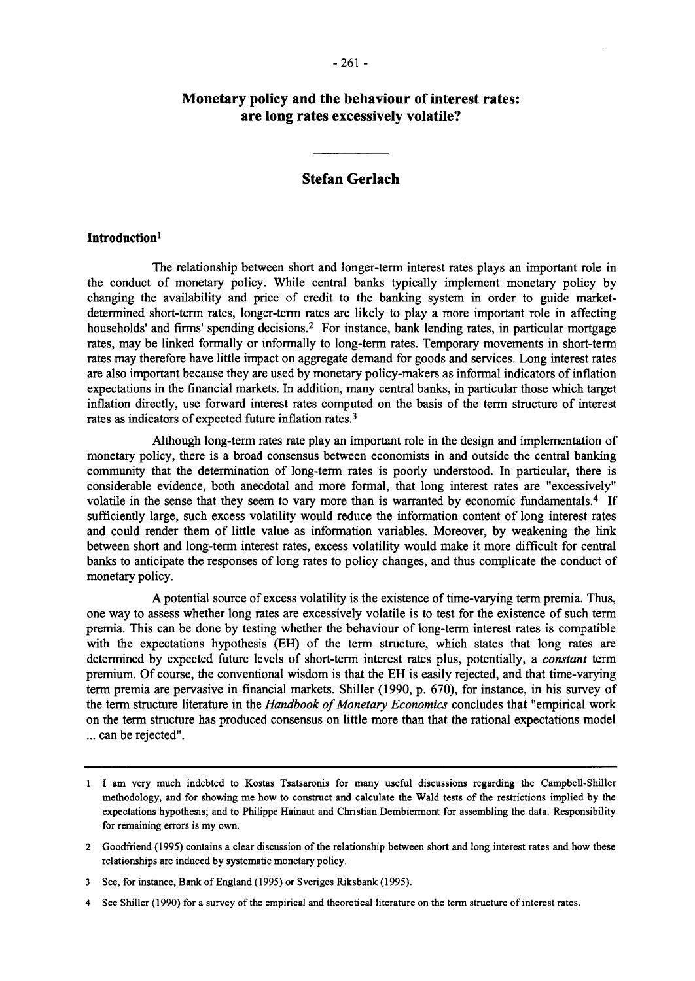### **Monetary policy and the behaviour of interest rates: are long rates excessively volatile?**

### **Stefan Gerlach**

### **Introduction<sup>1</sup>**

The relationship between short and longer-term interest ratés plays an important role in the conduct of monetary policy. While central banks typically implement monetary policy by changing the availability and price of credit to the banking system in order to guide marketdetermined short-term rates, longer-term rates are likely to play a more important role in affecting households' and firms' spending decisions.<sup>2</sup> For instance, bank lending rates, in particular mortgage rates, may be linked formally or informally to long-term rates. Temporary movements in short-term rates may therefore have little impact on aggregate demand for goods and services. Long interest rates are also important because they are used by monetary policy-makers as informal indicators of inflation expectations in the financial markets. In addition, many central banks, in particular those which target inflation directly, use forward interest rates computed on the basis of the term structure of interest rates as indicators of expected future inflation rates.<sup>3</sup>

Although long-term rates rate play an important role in the design and implementation of monetary policy, there is a broad consensus between economists in and outside the central banking community that the determination of long-term rates is poorly understood. In particular, there is considerable evidence, both anecdotal and more formal, that long interest rates are "excessively" volatile in the sense that they seem to vary more than is warranted by economic fundamentals.<sup>4</sup> l sufficiently large, such excess volatility would reduce the information content of long interest rates and could render them of little value as information variables. Moreover, by weakening the link between short and long-term interest rates, excess volatility would make it more difficult for central banks to anticipate the responses of long rates to policy changes, and thus complicate the conduct of monetary policy.

A potential source of excess volatility is the existence of time-varying term premia. Thus, one way to assess whether long rates are excessively volatile is to test for the existence of such term premia. This can be done by testing whether the behaviour of long-term interest rates is compatible with the expectations hypothesis (EH) of the term structure, which states that long rates are determined by expected fixture levels of short-term interest rates plus, potentially, a *constant* term premium. Of course, the conventional wisdom is that the EH is easily rejected, and that time-varying term premia are pervasive in financial markets. Shiller (1990, p. 670), for instance, in his survey of the term structure literature in the *Handbook of Monetary Economics* concludes that "empirical work on the term structure has produced consensus on little more than that the rational expectations model ... can be rejected".

- **3 See, for instance. Bank of England ( 1995) or Sveriges Riksbank ( 1995).**
- 4 See Shiller (1990) for a survey of the empirical and theoretical literature on the term structure of interest rates.

**<sup>1</sup> I am very much indebted to Kostas Tsatsaronis for many useful discussions regarding the Campbell-Shiller** methodology, and for showing me how to construct and calculate the Wald tests of the restrictions implied by the **expectations hypothesis; and to Philippe Hainaut and Christian Dembiermont for assembling the data. Responsibility for remaining errors is my own.**

<sup>2</sup> Goodfriend (1995) contains a clear discussion of the relationship between short and long interest rates and how these **relationships are induced by systematic monetary policy.**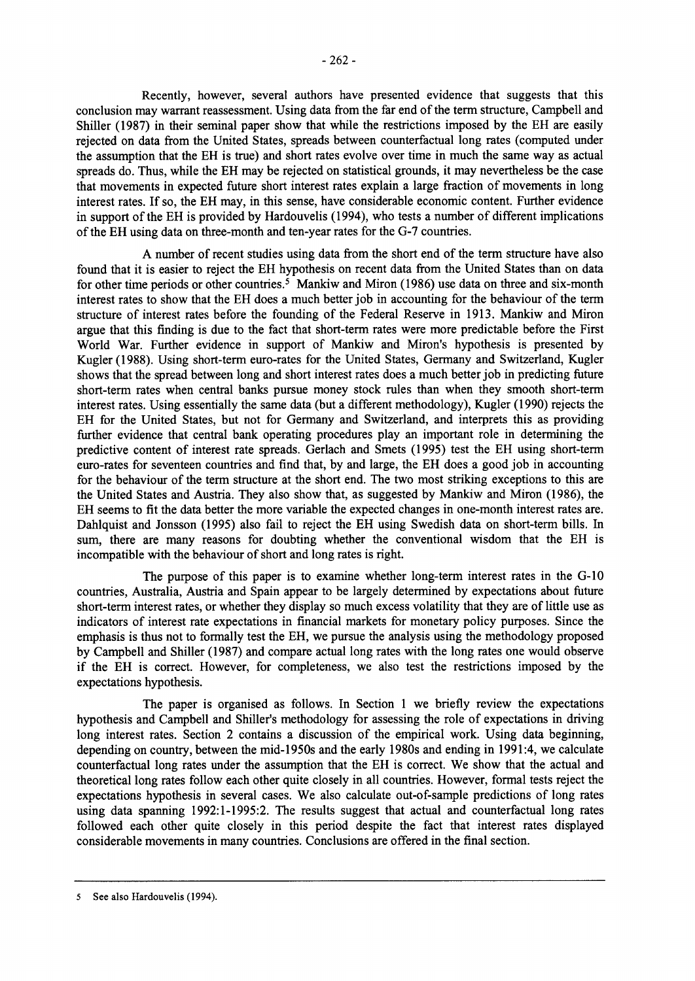Recently, however, several authors have presented evidence that suggests that this conclusion may warrant reassessment. Using data from the far end of the term structure, Campbell and Shiller (1987) in their seminal paper show that while the restrictions imposed by the EH are easily rejected on data from the United States, spreads between counterfactual long rates (computed under the assumption that the EH is true) and short rates evolve over time in much the same way as actual spreads do. Thus, while the EH may be rejected on statistical grounds, it may nevertheless be the case that movements in expected future short interest rates explain a large fraction of movements in long interest rates. If so, the EH may, in this sense, have considerable economic content. Further evidence in support of the EH is provided by Hardouvelis (1994), who tests a number of different implications of the EH using data on three-month and ten-year rates for the G-7 countries.

A number of recent studies using data from the short end of the term structure have also found that it is easier to reject the EH hypothesis on recent data from the United States than on data for other time periods or other countries.<sup>5</sup> Mankiw and Miron (1986) use data on three and six-month interest rates to show that the EH does a much better job in accounting for the behaviour of the term structure of interest rates before the founding of the Federal Reserve in 1913. Mankiw and Miron argue that this finding is due to the fact that short-term rates were more predictable before the First World War. Further evidence in support of Mankiw and Miron's hypothesis is presented by Kugler (1988). Using short-term euro-rates for the United States, Germany and Switzerland, Kugler shows that the spread between long and short interest rates does a much better job in predicting future short-term rates when central banks pursue money stock rules than when they smooth short-term interest rates. Using essentially the same data (but a different methodology), Kugler (1990) rejects the EH for the United States, but not for Germany and Switzerland, and interprets this as providing further evidence that central bank operating procedures play an important role in determining the predictive content of interest rate spreads. Gerlach and Smets (1995) test the EH using short-term euro-rates for seventeen countries and find that, by and large, the EH does a good job in accounting for the behaviour of the term structure at the short end. The two most striking exceptions to this are the United States and Austria. They also show that, as suggested by Mankiw and Miron (1986), the EH seems to fit the data better the more variable the expected changes in one-month interest rates are. Dahlquist and Jonsson (1995) also fail to reject the EH using Swedish data on short-term bills. In sum, there are many reasons for doubting whether the conventional wisdom that the EH is incompatible with the behaviour of short and long rates is right.

The purpose of this paper is to examine whether long-term interest rates in the G-10 countries, Australia, Austria and Spain appear to be largely determined by expectations about future short-term interest rates, or whether they display so much excess volatility that they are of little use as indicators of interest rate expectations in financial markets for monetary policy purposes. Since the emphasis is thus not to formally test the EH, we pursue the analysis using the methodology proposed by Campbell and Shiller (1987) and compare actual long rates with the long rates one would observe if the EH is correct. However, for completeness, we also test the restrictions imposed by the expectations hypothesis.

The paper is organised as follows. In Section 1 we briefly review the expectations hypothesis and Campbell and Shiller's methodology for assessing the role of expectations in driving long interest rates. Section 2 contains a discussion of the empirical work. Using data beginning, depending on country, between the mid-1950s and the early 1980s and ending in 1991:4, we calculate counterfactual long rates under the assumption that the EH is correct. We show that the actual and theoretical long rates follow each other quite closely in all countries. However, formal tests reject the expectations hypothesis in several cases. We also calculate out-of-sample predictions of long rates using data spanning 1992:1-1995:2. The results suggest that actual and counterfactual long rates followed each other quite closely in this period despite the fact that interest rates displayed considerable movements in many countries. Conclusions are offered in the final section.

**<sup>5</sup> See also Hardouvelis (1994).**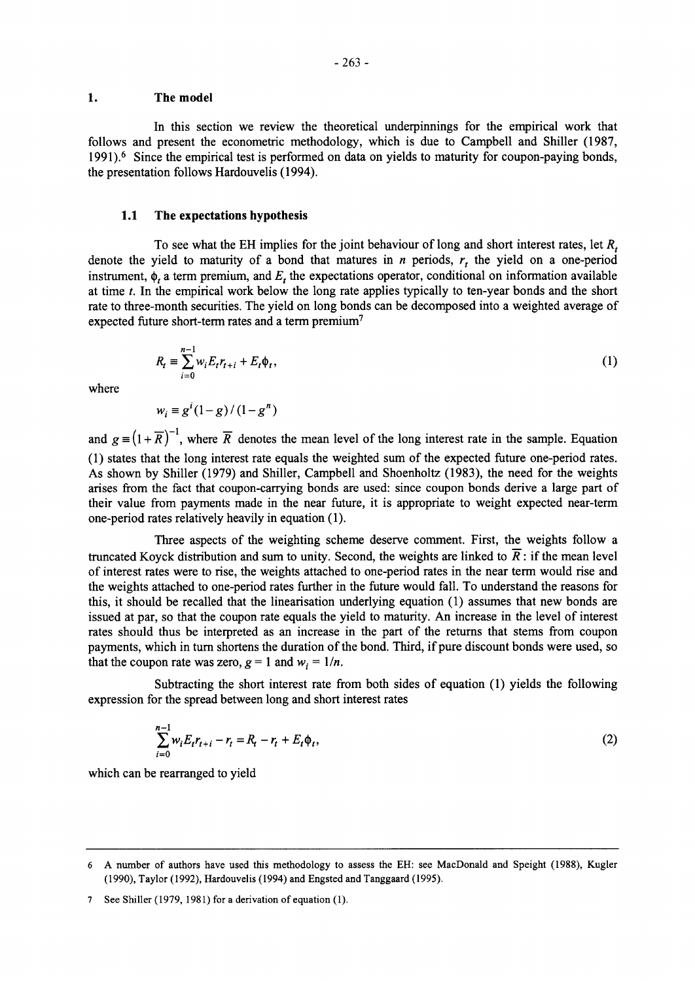### **1. The model**

In this section we review the theoretical underpinnings for the empirical work that follows and present the econometric methodology, which is due to Campbell and Shiller (1987, 1991).<sup>6</sup> Since the empirical test is performed on data on yields to maturity for coupon-paying bonds the presentation follows Hardouvelis (1994).

### **1.1 The expectations hypothesis**

To see what the EH implies for the joint behaviour of long and short interest rates, let *R<sup>t</sup>* denote the yield to maturity of a bond that matures in *n* periods,  $r<sub>t</sub>$  the yield on a one-period instrument,  $\phi_t$  a term premium, and  $E_t$  the expectations operator, conditional on information available at time *t.* In the empirical work below the long rate applies typically to ten-year bonds and the short rate to three-month securities. The yield on long bonds can be decomposed into a weighted average of expected future short-term rates and a term premium<sup>7</sup>

$$
R_t = \sum_{i=0}^{n-1} w_i E_t r_{t+i} + E_t \phi_t,
$$
 (1)

where

$$
w_i \equiv g^i(1-g)/(1-g^n)
$$

and  $g = (1 + \overline{R})^{-1}$ , where  $\overline{R}$  denotes the mean level of the long interest rate in the sample. Equation (1) states that the long interest rate equals the weighted sum of the expected future one-period rates. As shown by Shiller (1979) and Shiller, Campbell and Shoenholtz (1983), the need for the weights arises from the fact that coupon-carrying bonds are used: since coupon bonds derive a large part of their value from payments made in the near future, it is appropriate to weight expected near-term one-period rates relatively heavily in equation (1).

Three aspects of the weighting scheme deserve comment. First, the weights follow a truncated Koyck distribution and sum to unity. Second, the weights are linked to  $\overline{R}$ : if the mean level of interest rates were to rise, the weights attached to one-period rates in the near term would rise and the weights attached to one-period rates further in the future would fall. To understand the reasons for this, it should be recalled that the linearisation underlying equation (1) assumes that new bonds are issued at par, so that the coupon rate equals the yield to maturity. An increase in the level of interest rates should thus be interpreted as an increase in the part of the returns that stems from coupon payments, which in turn shortens the duration of the bond. Third, if pure discount bonds were used, so that the coupon rate was zero,  $g = 1$  and  $w_i = 1/n$ .

Subtracting the short interest rate from both sides of equation (1) yields the following expression for the spread between long and short interest rates

$$
\sum_{i=0}^{n-1} w_i E_t r_{t+i} - r_t = R_t - r_t + E_t \phi_t,
$$
\n(2)

which can be rearranged to yield

<sup>6</sup> A number of authors have used this methodology to assess the EH: see MacDonald and Speight (1988), Kugler **(1990), Taylor (1992), Hardouvelis (1994) and Engsted and Tanggaard (1995).**

**<sup>7</sup> See Shiller (1979, 1981) for a derivation of equation (1).**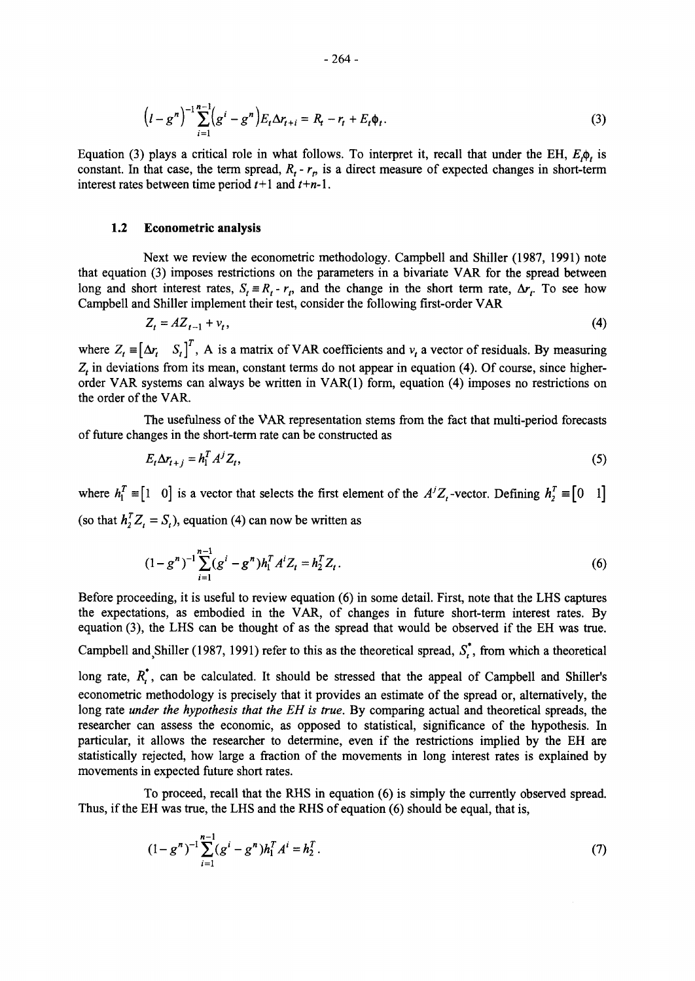$$
(l - gn)-1 \sum_{i=1}^{n-1} (gi - gn) Et \Delta rt+i = Rt - rt + Et \phit.
$$
 (3)

Equation (3) plays a critical role in what follows. To interpret it, recall that under the EH,  $E_f \phi_t$  is constant. In that case, the term spread,  $R_t$  -  $r_t$ , is a direct measure of expected changes in short-term interest rates between time period  $t+1$  and  $t+n-1$ .

### **1.2 Econometric analysis**

Next we review the econometric methodology. Campbell and Shiller (1987, 1991) note that equation (3) imposes restrictions on the parameters in a bivariate VAR for the spread between long and short interest rates,  $S_t = R_t - r_t$ , and the change in the short term rate,  $\Delta r_t$ . To see how Campbell and Shiller implement their test, consider the following first-order VAR

$$
Z_t = AZ_{t-1} + v_t,\tag{4}
$$

where  $Z_t = [\Delta r_t \quad S_t]^T$ , A is a matrix of VAR coefficients and  $v_t$  a vector of residuals. By measuring *Zt* in deviations from its mean, constant terms do not appear in equation (4). Of course, since higherorder VAR systems can always be written in VAR(1) form, equation (4) imposes no restrictions on the order of the VAR.

The usefulness of the VAR representation stems from the fact that multi-period forecasts of future changes in the short-term rate can be constructed as

$$
E_t \Delta r_{t+j} = h_1^T A^j Z_t, \tag{5}
$$

where  $h_1^T \equiv [1 \ 0]$  is a vector that selects the first element of the  $A^j Z_i$ -vector. Defining  $h_2^T \equiv [0 \ 1]$ (so that  $h_2^T Z_t = S_t$ ), equation (4) can now be written as

$$
(1 - gn)-1 \sum_{i=1}^{n-1} (gi - gn) h1T Ai Zt = h2T Zt.
$$
 (6)

Before proceeding, it is useful to review equation (6) in some detail. First, note that the LHS captures the expectations, as embodied in the VAR, of changes in future short-term interest rates. By equation (3), the LHS can be thought of as the spread that would be observed if the EH was true.

Campbell and Shiller (1987, 1991) refer to this as the theoretical spread,  $S_t^*$ , from which a theoretical

long rate,  $R_t^*$ , can be calculated. It should be stressed that the appeal of Campbell and Shiller's econometric methodology is precisely that it provides an estimate of the spread or, alternatively, the long rate *under the hypothesis that the EH is true.* By comparing actual and theoretical spreads, the researcher can assess the economic, as opposed to statistical, significance of the hypothesis. In particular, it allows the researcher to determine, even if the restrictions implied by the EH are statistically rejected, how large a fraction of the movements in long interest rates is explained by movements in expected future short rates.

To proceed, recall that the RHS in equation (6) is simply the currently observed spread. Thus, if the EH was true, the LHS and the RHS of equation (6) should be equal, that is,

$$
(1 - gn)-1 \sum_{i=1}^{n-1} (gi - gn) h1T Ai = h2T.
$$
 (7)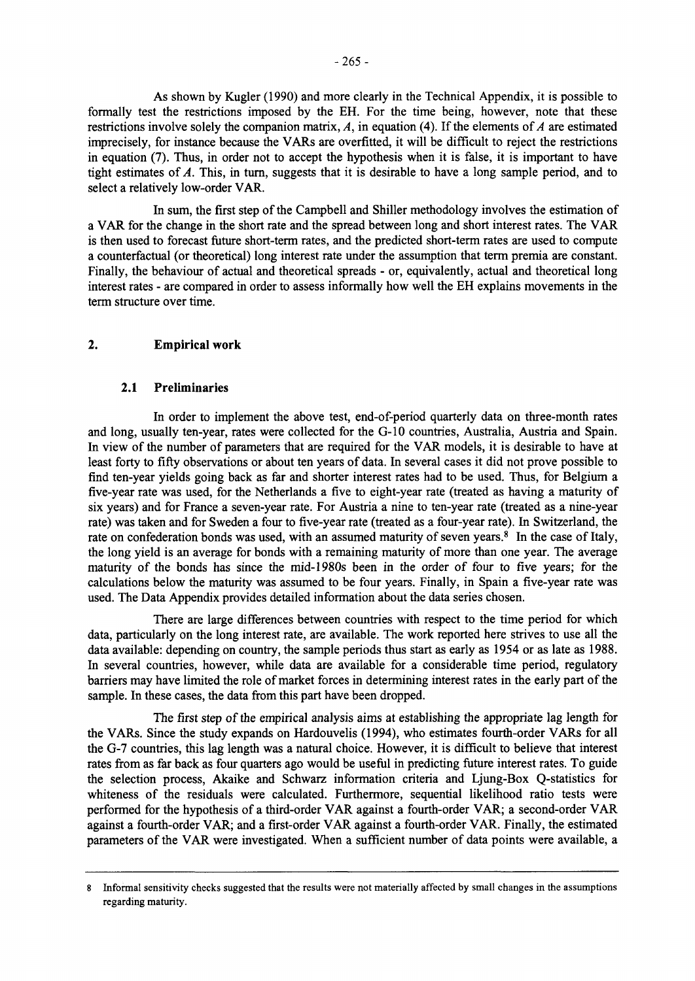As shown by Kugler (1990) and more clearly in the Technical Appendix, it is possible to formally test the restrictions imposed by the EH. For the time being, however, note that these restrictions involve solely the companion matrix, *A,* in equation (4). If the elements of *A* are estimated imprecisely, for instance because the VARs are overfitted, it will be difficult to reject the restrictions in equation (7). Thus, in order not to accept the hypothesis when it is false, it is important to have tight estimates of *A.* This, in turn, suggests that it is desirable to have a long sample period, and to select a relatively low-order VAR.

In sum, the first step of the Campbell and Shiller methodology involves the estimation of a VAR for the change in the short rate and the spread between long and short interest rates. The VAR is then used to forecast future short-term rates, and the predicted short-term rates are used to compute a counterfactual (or theoretical) long interest rate under the assumption that term premia are constant. Finally, the behaviour of actual and theoretical spreads - or, equivalently, actual and theoretical long interest rates - are compared in order to assess informally how well the EH explains movements in the term structure over time.

### **2. Empirical work**

### **2.1 Preliminaries**

In order to implement the above test, end-of-period quarterly data on three-month rates and long, usually ten-year, rates were collected for the G-10 countries, Australia, Austria and Spain. In view of the number of parameters that are required for the VAR models, it is desirable to have at least forty to fifty observations or about ten years of data. In several cases it did not prove possible to find ten-year yields going back as far and shorter interest rates had to be used. Thus, for Belgium a five-year rate was used, for the Netherlands a five to eight-year rate (treated as having a maturity of six years) and for France a seven-year rate. For Austria a nine to ten-year rate (treated as a nine-year rate) was taken and for Sweden a four to five-year rate (treated as a four-year rate). In Switzerland, the rate on confederation bonds was used, with an assumed maturity of seven years.<sup>8</sup> In the case of Italy the long yield is an average for bonds with a remaining maturity of more than one year. The average maturity of the bonds has since the mid-1980s been in the order of four to five years; for the calculations below the maturity was assumed to be four years. Finally, in Spain a five-year rate was used. The Data Appendix provides detailed information about the data series chosen.

There are large differences between countries with respect to the time period for which data, particularly on the long interest rate, are available. The work reported here strives to use all the data available: depending on country, the sample periods thus start as early as 1954 or as late as 1988. In several countries, however, while data are available for a considerable time period, regulatory barriers may have limited the role of market forces in determining interest rates in the early part of the sample. In these cases, the data from this part have been dropped.

The first step of the empirical analysis aims at establishing the appropriate lag length for the VARs. Since the study expands on Hardouvelis (1994), who estimates fourth-order VARs for all the G-7 countries, this lag length was a natural choice. However, it is difficult to believe that interest rates from as far back as four quarters ago would be useful in predicting future interest rates. To guide the selection process, Akaike and Schwarz information criteria and Ljung-Box Q-statistics for whiteness of the residuals were calculated. Furthermore, sequential likelihood ratio tests were performed for the hypothesis of a third-order VAR against a fourth-order VAR; a second-order VAR against a fourth-order VAR; and a first-order VAR against a fourth-order VAR. Finally, the estimated parameters of the VAR were investigated. When a sufficient number of data points were available, a

<sup>8</sup> Informal sensitivity checks suggested that the results were not materially affected by small changes in the assumptions **regarding maturity.**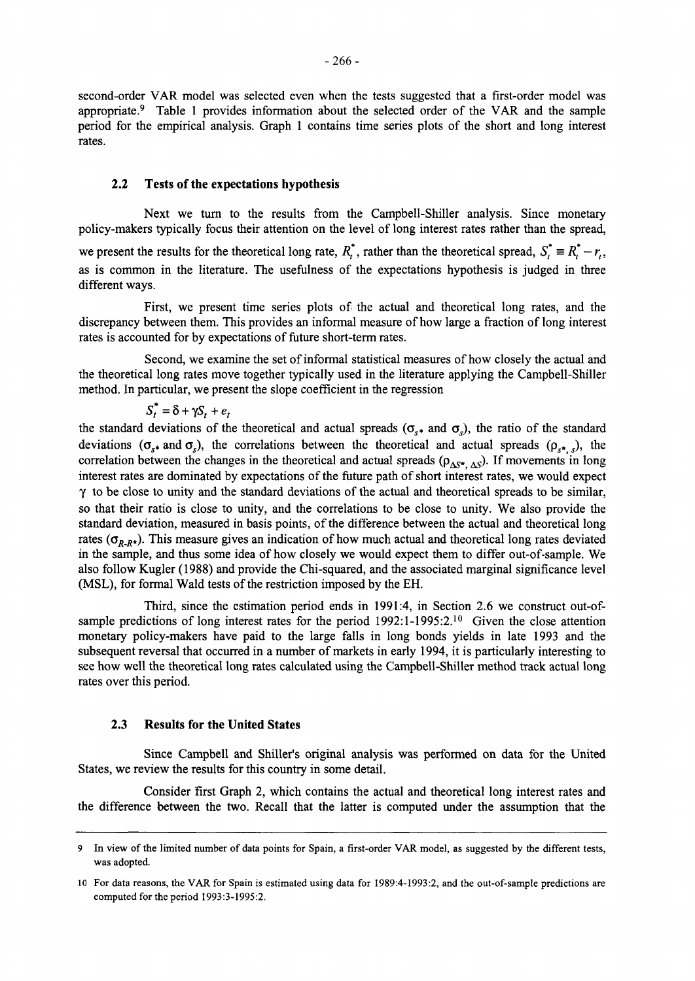second-order VAR model was selected even when the tests suggested that a first-order model was appropriate.<sup>9</sup> Table 1 provides information about the selected order of the VAR and the sample period for the empirical analysis. Graph 1 contains time series plots of the short and long interest rates.

### **2.2 Tests of the expectations hypothesis**

Next we turn to the results from the Campbell-Shiller analysis. Since monetary policy-makers typically focus their attention on the level of long interest rates rather than the spread,

we present the results for the theoretical long rate,  $R_t^*$ , rather than the theoretical spread,  $S_t^* = R_t^* - r_t^*$ as is common in the literature. The usefulness of the expectations hypothesis is judged in three different ways.

First, we present time series plots of the actual and theoretical long rates, and the discrepancy between them. This provides an informal measure of how large a fraction of long interest rates is accounted for by expectations of future short-term rates.

Second, we examine the set of informal statistical measures of how closely the actual and the theoretical long rates move together typically used in the literature applying the Campbell-Shiller method. In particular, we present the slope coefficient in the regression

### $S_t^* = \delta + \gamma S_t + e_t$

the standard deviations of the theoretical and actual spreads ( $\sigma_{s*}$  and  $\sigma_{s}$ ), the ratio of the standard deviations ( $\sigma_{s*}$  and  $\sigma_{s}$ ), the correlations between the theoretical and actual spreads ( $\rho_{s*}$  s), the correlation between the changes in the theoretical and actual spreads ( $\rho_{\Delta S^*, \Delta S}$ ). If movements in long interest rates are dominated by expectations of the future path of short interest rates, we would expect Y to be close to unity and the standard deviations of the actual and theoretical spreads to be similar, so that their ratio is close to unity, and the correlations to be close to unity. We also provide the standard deviation, measured in basis points, of the difference between the actual and theoretical long rates  $(\sigma_{R,R*})$ . This measure gives an indication of how much actual and theoretical long rates deviated in the sample, and thus some idea of how closely we would expect them to differ out-of-sample. We also follow Kugler (1988) and provide the Chi-squared, and the associated marginal significance level (MSL), for formal Wald tests of the restriction imposed by the EH.

Third, since the estimation period ends in 1991:4, in Section 2.6 we construct out-ofsample predictions of long interest rates for the period 1992:1-1995:2.<sup>10</sup> Given the close attention monetary policy-makers have paid to the large falls in long bonds yields in late 1993 and the subsequent reversal that occurred in a number of markets in early 1994, it is particularly interesting to see how well the theoretical long rates calculated using the Campbell-Shiller method track actual long rates over this period.

### **2.3 Results for the United States**

Since Campbell and Shiller's original analysis was performed on data for the United States, we review the results for this country in some detail.

Consider first Graph 2, which contains the actual and theoretical long interest rates and the difference between the two. Recall that the latter is computed under the assumption that the

<sup>9</sup> In view of the limited number of data points for Spain, a first-order VAR model, as suggested by the different tests, **was adopted.**

<sup>10</sup> For data reasons, the VAR for Spain is estimated using data for 1989:4-1993:2, and the out-of-sample predictions are **computed for the period 1993:3-1995:2.**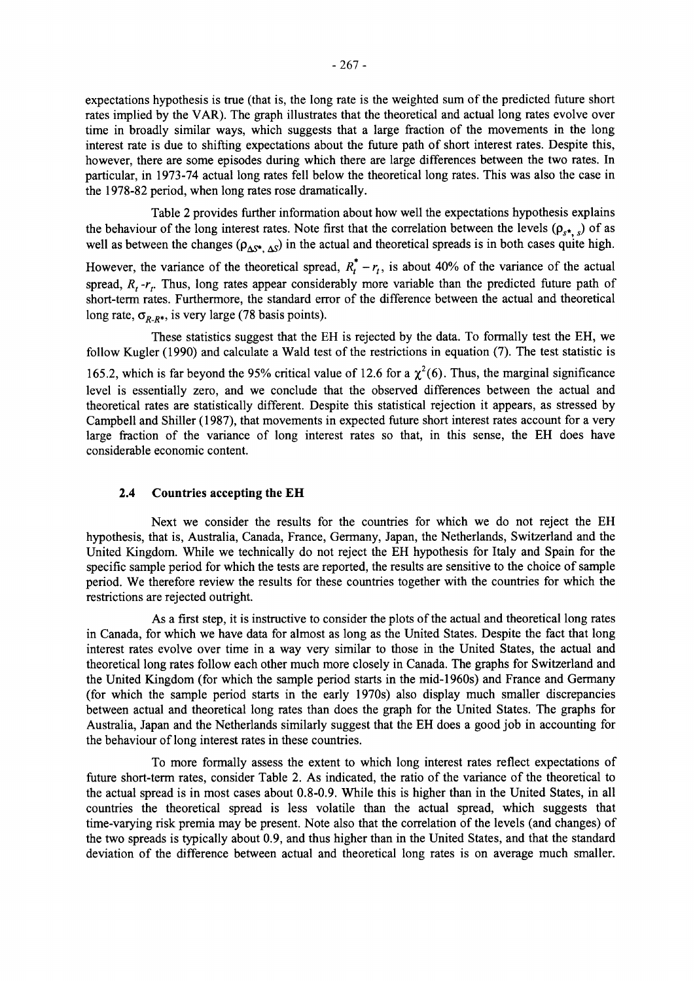expectations hypothesis is true (that is, the long rate is the weighted sum of the predicted future short rates implied by the VAR). The graph illustrates that the theoretical and actual long rates evolve over time in broadly similar ways, which suggests that a large fraction of the movements in the long interest rate is due to shifting expectations about the future path of short interest rates. Despite this, however, there are some episodes during which there are large differences between the two rates. In particular, in 1973-74 actual long rates fell below the theoretical long rates. This was also the case in the 1978-82 period, when long rates rose dramatically.

Table 2 provides further information about how well the expectations hypothesis explains the behaviour of the long interest rates. Note first that the correlation between the levels  $(\rho_{s*,s})$  of a well as between the changes ( $\rho_{\Delta S^*, \Delta S}$ ) in the actual and theoretical spreads is in both cases quite high.

However, the variance of the theoretical spread,  $R_t^* - r_t$ , is about 40% of the variance of the actual spread,  $R_t$ - $r_t$ . Thus, long rates appear considerably more variable than the predicted future path of short-term rates. Furthermore, the standard error of the difference between the actual and theoretical long rate,  $\sigma_{R-R^*}$ , is very large (78 basis points).

These statistics suggest that the EH is rejected by the data. To formally test the EH, we follow Kugler (1990) and calculate a Wald test of the restrictions in equation (7). The test statistic is

165.2, which is far beyond the 95% critical value of 12.6 for a  $\chi^2(6)$ . Thus, the marginal significance level is essentially zero, and we conclude that the observed differences between the actual and theoretical rates are statistically different. Despite this statistical rejection it appears, as stressed by Campbell and Shiller (1987), that movements in expected future short interest rates account for a very large fraction of the variance of long interest rates so that, in this sense, the EH does have considerable economic content.

### **2.4 Countries accepting the EH**

Next we consider the results for the countries for which we do not reject the EH hypothesis, that is, Australia, Canada, France, Germany, Japan, the Netherlands, Switzerland and the United Kingdom. While we technically do not reject the EH hypothesis for Italy and Spain for the specific sample period for which the tests are reported, the results are sensitive to the choice of sample period. We therefore review the results for these countries together with the countries for which the restrictions are rejected outright.

As a first step, it is instructive to consider the plots of the actual and theoretical long rates in Canada, for which we have data for almost as long as the United States. Despite the fact that long interest rates evolve over time in a way very similar to those in the United States, the actual and theoretical long rates follow each other much more closely in Canada. The graphs for Switzerland and the United Kingdom (for which the sample period starts in the mid-1960s) and France and Germany (for which the sample period starts in the early 1970s) also display much smaller discrepancies between actual and theoretical long rates than does the graph for the United States. The graphs for Australia, Japan and the Netherlands similarly suggest that the EH does a good job in accounting for the behaviour of long interest rates in these countries.

To more formally assess the extent to which long interest rates reflect expectations of future short-term rates, consider Table 2. As indicated, the ratio of the variance of the theoretical to the actual spread is in most cases about 0.8-0.9. While this is higher than in the United States, in all countries the theoretical spread is less volatile than the actual spread, which suggests that time-varying risk premia may be present. Note also that the correlation of the levels (and changes) of the two spreads is typically about 0.9, and thus higher than in the United States, and that the standard deviation of the difference between actual and theoretical long rates is on average much smaller.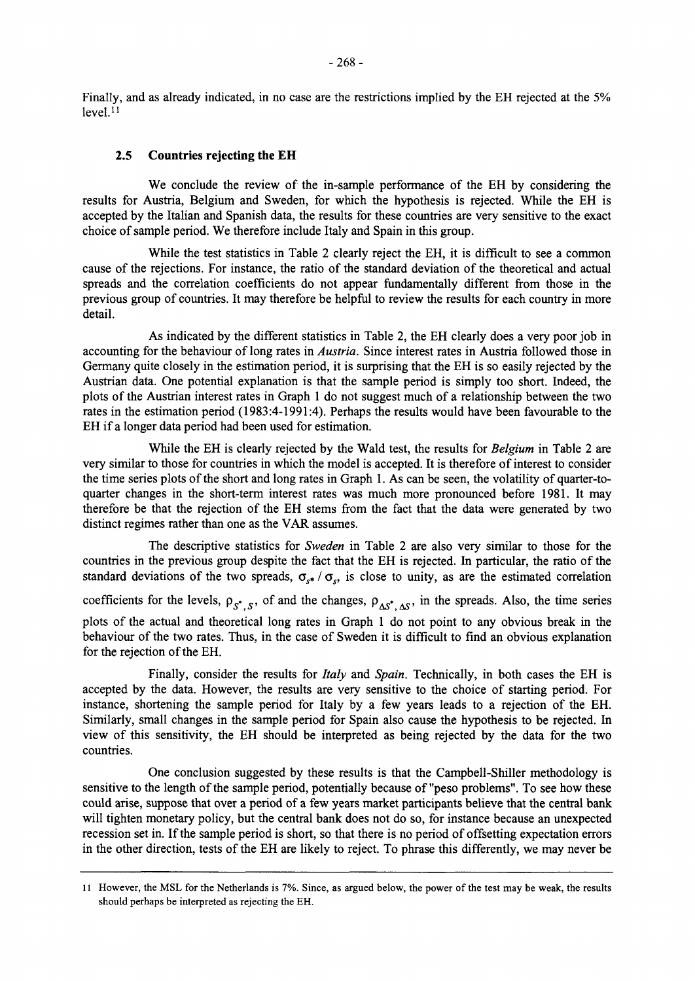Finally, and as already indicated, in no case are the restrictions implied by the EH rejected at the 5% level.<sup>11</sup>

### **2.5 Countries rejecting the EH**

We conclude the review of the in-sample performance of the EH by considering the results for Austria, Belgium and Sweden, for which the hypothesis is rejected. While the EH is accepted by the Italian and Spanish data, the results for these countries are very sensitive to the exact choice of sample period. We therefore include Italy and Spain in this group.

While the test statistics in Table 2 clearly reject the EH, it is difficult to see a common cause of the rejections. For instance, the ratio of the standard deviation of the theoretical and actual spreads and the correlation coefficients do not appear fundamentally different from those in the previous group of countries. It may therefore be helpful to review the results for each country in more detail.

As indicated by the different statistics in Table 2, the EH clearly does a very poor job in accounting for the behaviour of long rates in *Austria.* Since interest rates in Austria followed those in Germany quite closely in the estimation period, it is surprising that the EH is so easily rejected by the Austrian data. One potential explanation is that the sample period is simply too short. Indeed, the plots of the Austrian interest rates in Graph 1 do not suggest much of a relationship between the two rates in the estimation period (1983:4-1991:4). Perhaps the results would have been favourable to the EH if a longer data period had been used for estimation.

While the EH is clearly rejected by the Wald test, the results for *Belgium* in Table 2 are very similar to those for countries in which the model is accepted. It is therefore of interest to consider the time series plots of the short and long rates in Graph 1. As can be seen, the volatility of quarter-toquarter changes in the short-term interest rates was much more pronounced before 1981. It may therefore be that the rejection of the EH stems from the fact that the data were generated by two distinct regimes rather than one as the VAR assumes.

The descriptive statistics for *Sweden* in Table 2 are also very similar to those for the countries in the previous group despite the fact that the EH is rejected. In particular, the ratio of the standard deviations of the two spreads,  $\sigma_{s^*} / \sigma_{s}$ , is close to unity, as are the estimated correlation

coefficients for the levels,  $\rho_{s^*}$ , of and the changes,  $\rho_{s^*}$ , in the spreads. Also, the time series plots of the actual and theoretical long rates in Graph 1 do not point to any obvious break in the behaviour of the two rates. Thus, in the case of Sweden it is difficult to find an obvious explanation for the rejection of the EH.

Finally, consider the results for *Italy* and *Spain.* Technically, in both cases the EH is accepted by the data. However, the results are very sensitive to the choice of starting period. For instance, shortening the sample period for Italy by a few years leads to a rejection of the EH. Similarly, small changes in the sample period for Spain also cause the hypothesis to be rejected. In view of this sensitivity, the EH should be interpreted as being rejected by the data for the two countries.

One conclusion suggested by these results is that the Campbell-Shiller methodology is sensitive to the length of the sample period, potentially because of "peso problems". To see how these could arise, suppose that over a period of a few years market participants believe that the central bank will tighten monetary policy, but the central bank does not do so, for instance because an unexpected recession set in. If the sample period is short, so that there is no period of offsetting expectation errors in the other direction, tests of the EH are likely to reject. To phrase this differently, we may never be

<sup>11</sup> However, the MSL for the Netherlands is 7%. Since, as argued below, the power of the test may be weak, the results **should perhaps be interpreted as rejecting the EH.**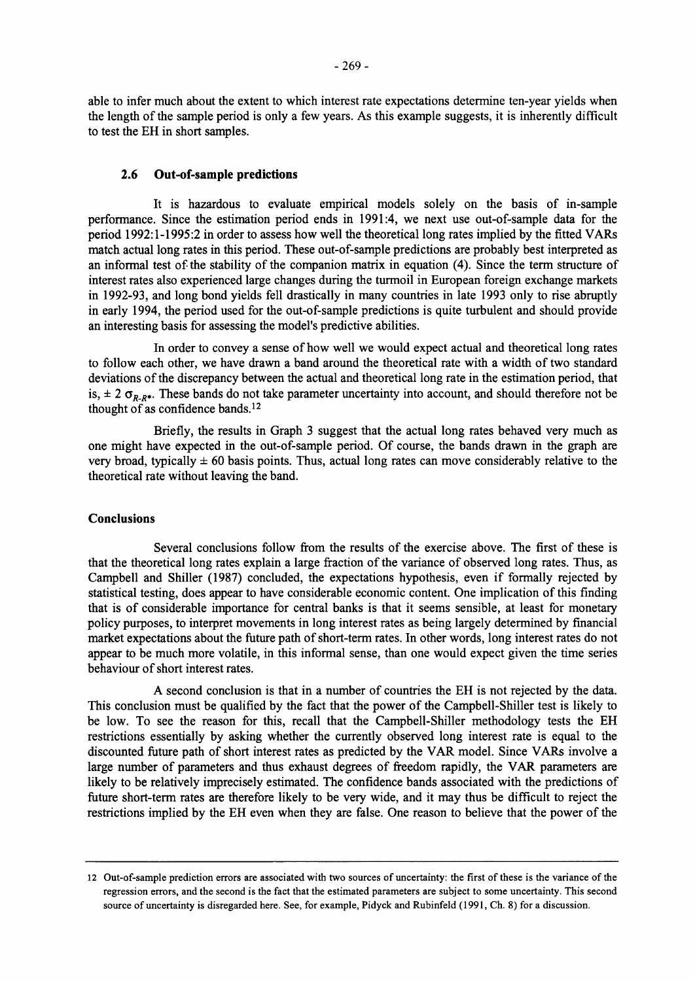able to infer much about the extent to which interest rate expectations determine ten-year yields when the length of the sample period is only a few years. As this example suggests, it is inherently difficult to test the EH in short samples.

### **2.6 Out-of-sample predictions**

It is hazardous to evaluate empirical models solely on the basis of in-sample performance. Since the estimation period ends in 1991:4, we next use out-of-sample data for the period 1992:1-1995:2 in order to assess how well the theoretical long rates implied by the fitted VARs match actual long rates in this period. These out-of-sample predictions are probably best interpreted as an informal test of the stability of the companion matrix in equation (4). Since the term structure of interest rates also experienced large changes during the turmoil in European foreign exchange markets in 1992-93, and long bond yields fell drastically in many countries in late 1993 only to rise abruptly in early 1994, the period used for the out-of-sample predictions is quite turbulent and should provide an interesting basis for assessing the model's predictive abilities.

In order to convey a sense of how well we would expect actual and theoretical long rates to follow each other, we have drawn a band around the theoretical rate with a width of two standard deviations of the discrepancy between the actual and theoretical long rate in the estimation period, that is,  $\pm 2 \sigma_{R-R*}$ . These bands do not take parameter uncertainty into account, and should therefore not be thought of as confidence bands.<sup>12</sup>

Briefly, the results in Graph 3 suggest that the actual long rates behaved very much as one might have expected in the out-of-sample period. Of course, the bands drawn in the graph are very broad, typically  $\pm 60$  basis points. Thus, actual long rates can move considerably relative to the theoretical rate without leaving the band.

### **Conclusions**

Several conclusions follow from the results of the exercise above. The first of these is that the theoretical long rates explain a large fraction of the variance of observed long rates. Thus, as Campbell and Shiller (1987) concluded, the expectations hypothesis, even if formally rejected by statistical testing, does appear to have considerable economic content. One implication of this finding that is of considerable importance for central banks is that it seems sensible, at least for monetary policy purposes, to interpret movements in long interest rates as being largely determined by financial market expectations about the future path of short-term rates. In other words, long interest rates do not appear to be much more volatile, in this informal sense, than one would expect given the time series behaviour of short interest rates.

A second conclusion is that in a number of countries the EH is not rejected by the data. This conclusion must be qualified by the fact that the power of the Campbell-Shiller test is likely to be low. To see the reason for this, recall that the Campbell-Shiller methodology tests the EH restrictions essentially by asking whether the currently observed long interest rate is equal to the discounted future path of short interest rates as predicted by the VAR model. Since VARs involve a large number of parameters and thus exhaust degrees of freedom rapidly, the VAR parameters are likely to be relatively imprecisely estimated. The confidence bands associated with the predictions of future short-term rates are therefore likely to be very wide, and it may thus be difficult to reject the restrictions implied by the EH even when they are false. One reason to believe that the power of the

<sup>12</sup> Out-of-sample prediction errors are associated with two sources of uncertainty: the first of these is the variance of the regression errors, and the second is the fact that the estimated parameters are subject to some uncertainty. This second source of uncertainty is disregarded here. See, for example, Pidyck and Rubinfeld (1991, Ch. 8) for a discussion.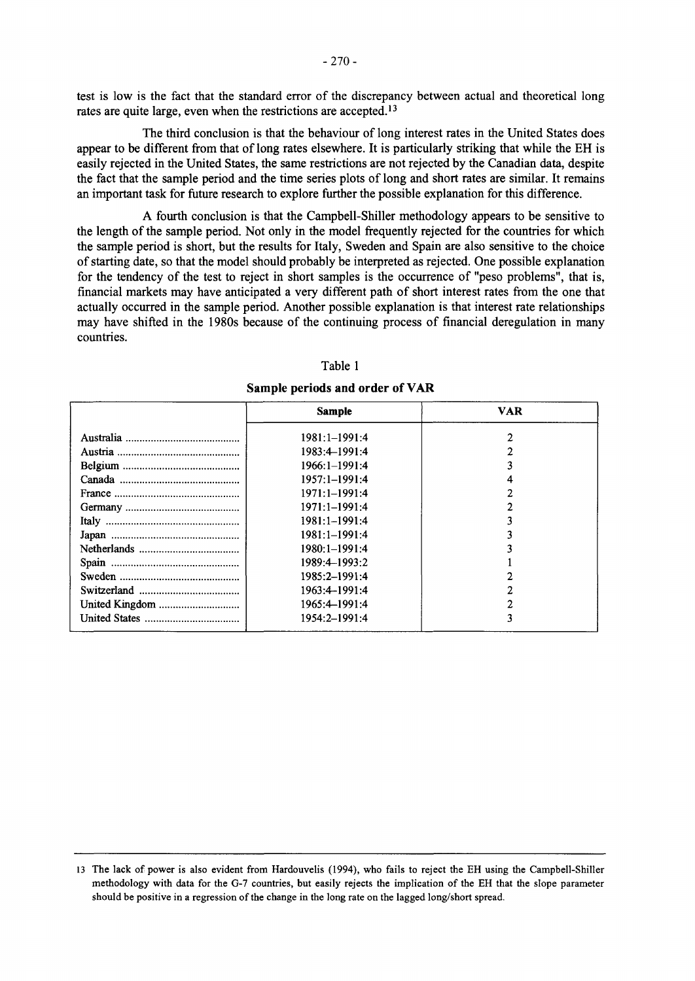test is low is the fact that the standard error of the discrepancy between actual and theoretical long rates are quite large, even when the restrictions are accepted.<sup>13</sup>

The third conclusion is that the behaviour of long interest rates in the United States does appear to be different from that of long rates elsewhere. It is particularly striking that while the EH is easily rejected in the United States, the same restrictions are not rejected by the Canadian data, despite the fact that the sample period and the time series plots of long and short rates are similar. It remains an important task for future research to explore further the possible explanation for this difference.

A fourth conclusion is that the Campbell-Shiller methodology appears to be sensitive to the length of the sample period. Not only in the model frequently rejected for the countries for which the sample period is short, but the results for Italy, Sweden and Spain are also sensitive to the choice of starting date, so that the model should probably be interpreted as rejected. One possible explanation for the tendency of the test to reject in short samples is the occurrence of "peso problems", that is, financial markets may have anticipated a very different path of short interest rates from the one that actually occurred in the sample period. Another possible explanation is that interest rate relationships may have shifted in the 1980s because of the continuing process of financial deregulation in many countries.

|                | <b>Sample</b>     | <b>VAR</b> |
|----------------|-------------------|------------|
|                | 1981:1-1991:4     |            |
|                | 1983:4-1991:4     |            |
|                | 1966:1-1991:4     |            |
|                | 1957:1-1991:4     |            |
|                | 1971:1-1991:4     |            |
|                | $1971:1 - 1991:4$ |            |
|                | 1981:1-1991:4     |            |
|                | 1981:1–1991:4     |            |
|                | 1980:1-1991:4     |            |
|                | 1989:4-1993:2     |            |
|                | 1985:2-1991:4     |            |
|                | 1963:4-1991:4     |            |
| United Kingdom | 1965:4-1991:4     |            |
|                | 1954:2–1991:4     |            |

**Sample periods and order of VAR**

Table 1

<sup>13</sup> The lack of power is also evident from Hardouvelis (1994), who fails to reject the EH using the Campbell-Shiller methodology with data for the G-7 countries, but easily rejects the implication of the EH that the slope parameter **should be positive in a regression of the change in the long rate on the lagged long/short spread.**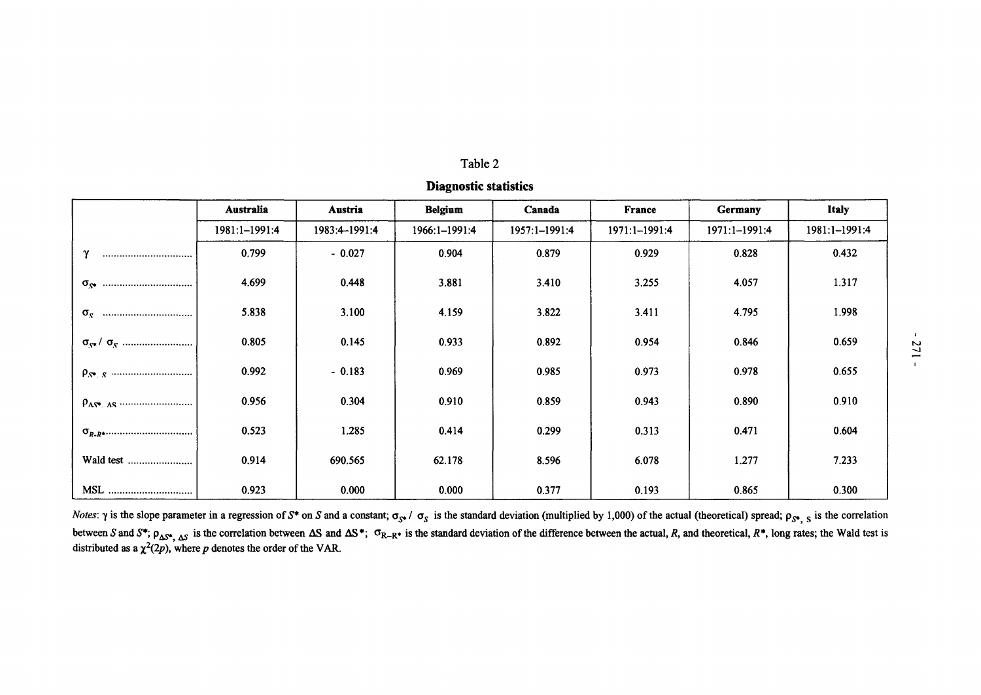### Table 2

### **Diagnostic statistics**

|                                                                                     | <b>Australia</b> | Austria       | <b>Belgium</b> | Canada        | <b>France</b> | <b>Germany</b> | <b>Italy</b>  |
|-------------------------------------------------------------------------------------|------------------|---------------|----------------|---------------|---------------|----------------|---------------|
|                                                                                     | 1981:1-1991:4    | 1983:4-1991:4 | 1966:1-1991:4  | 1957:1-1991:4 | 1971:1-1991:4 | 1971:1-1991:4  | 1981:1-1991:4 |
| $\gamma$                                                                            | 0.799            | $-0.027$      | 0.904          | 0.879         | 0.929         | 0.828          | 0.432         |
|                                                                                     | 4.699            | 0.448         | 3.881          | 3.410         | 3.255         | 4.057          | 1.317         |
|                                                                                     | 5.838            | 3.100         | 4.159          | 3.822         | 3.411         | 4.795          | 1.998         |
|                                                                                     | 0.805            | 0.145         | 0.933          | 0.892         | 0.954         | 0.846          | 0.659         |
|                                                                                     | 0.992            | $-0.183$      | 0.969          | 0.985         | 0.973         | 0.978          | 0.655         |
|                                                                                     | 0.956            | 0.304         | 0.910          | 0.859         | 0.943         | 0.890          | 0.910         |
| $\sigma_{p_1p_2\ldots\ldots\ldots\ldots\ldots\ldots\ldots\ldots\ldots\ldots\ldots}$ | 0.523            | 1.285         | 0.414          | 0.299         | 0.313         | 0.471          | 0.604         |
| Wald test                                                                           | 0.914            | 690.565       | 62.178         | 8.596         | 6.078         | 1.277          | 7.233         |
| <b>MSL</b>                                                                          | 0.923            | 0.000         | 0.000          | 0.377         | 0.193         | 0.865          | 0.300         |

*Notes*:  $\gamma$  is the slope parameter in a regression of S<sup>\*</sup> on S and a constant;  $\sigma_{S^*}/\sigma_S$  is the standard deviation (multiplied by 1,000) of the actual (theoretical) spread;  $\rho_{S^*}$  is the correlation between S and S<sup>\*</sup>;  $\rho_{\Delta S^*}$ ,  $\Delta_S$  is the correlation between  $\Delta S$  and  $\Delta S^*$ ;  $\sigma_{R-R^*}$  is the standard deviation of the difference between the actual, R, and theoretical, R<sup>\*</sup>, long rates; the Wald test is distributed as a  $\chi^2(2p)$ , where *p* denotes the order of the VAR.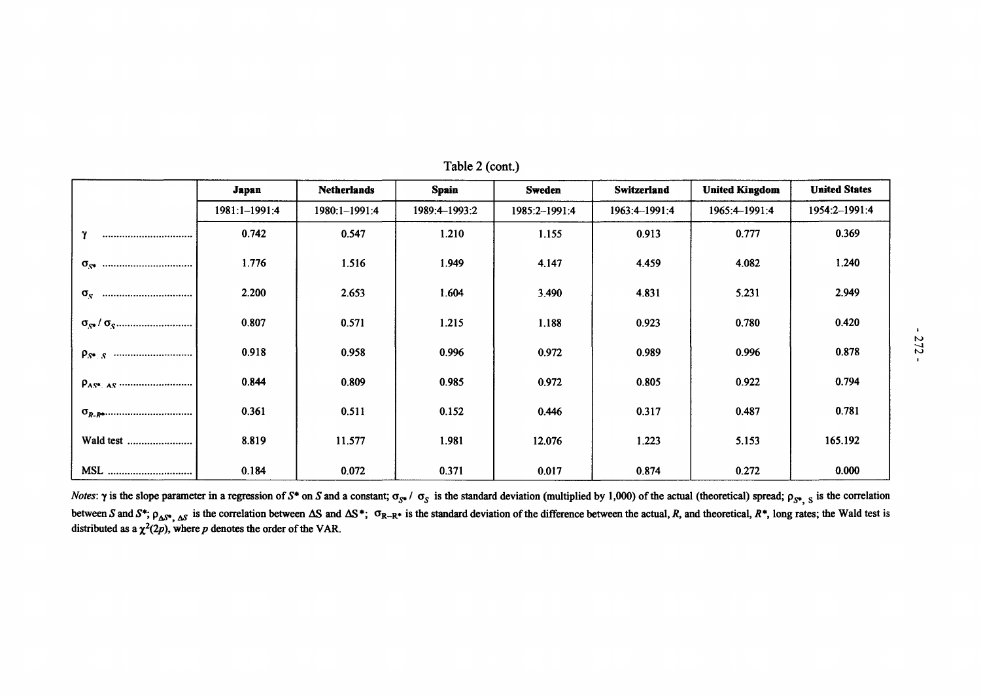|            | Japan         | <b>Netherlands</b> | <b>Spain</b>  | <b>Sweden</b> | Switzerland   | <b>United Kingdom</b> | <b>United States</b> |
|------------|---------------|--------------------|---------------|---------------|---------------|-----------------------|----------------------|
|            | 1981:1-1991:4 | 1980:1-1991:4      | 1989:4-1993:2 | 1985:2-1991:4 | 1963:4-1991:4 | 1965:4-1991:4         | 1954:2-1991:4        |
|            | 0.742         | 0.547              | 1.210         | 1.155         | 0.913         | 0.777                 | 0.369                |
|            | 1.776         | 1.516              | 1.949         | 4.147         | 4.459         | 4.082                 | 1.240                |
|            | 2.200         | 2.653              | 1.604         | 3.490         | 4.831         | 5.231                 | 2.949                |
|            | 0.807         | 0.571              | 1.215         | 1.188         | 0.923         | 0.780                 | 0.420                |
|            | 0.918         | 0.958              | 0.996         | 0.972         | 0.989         | 0.996                 | 0.878                |
|            | 0.844         | 0.809              | 0.985         | 0.972         | 0.805         | 0.922                 | 0.794                |
|            | 0.361         | 0.511              | 0.152         | 0.446         | 0.317         | 0.487                 | 0.781                |
| Wald test  | 8.819         | 11.577             | 1.981         | 12.076        | 1.223         | 5.153                 | 165.192              |
| <b>MSL</b> | 0.184         | 0.072              | 0.371         | 0.017         | 0.874         | 0.272                 | 0.000                |

Table 2 (cont.)

*Notes*:  $\gamma$  is the slope parameter in a regression of S<sup>\*</sup> on S and a constant;  $\sigma_{S^*}/\sigma_S$  is the standard deviation (multiplied by 1,000) of the actual (theoretical) spread;  $\rho_{S^*}$  is the correlation between S and S<sup>\*</sup>;  $\rho_{\Delta S}$  is the correlation between  $\Delta S$  and  $\Delta S$ <sup>\*</sup>;  $\sigma_{R-R}$  is the standard deviation of the difference between the actual, R, and theoretical, R<sup>\*</sup>, long rates; the Wald test is distributed as a  $\chi^2(2p)$ , where p denotes the order of the VAR.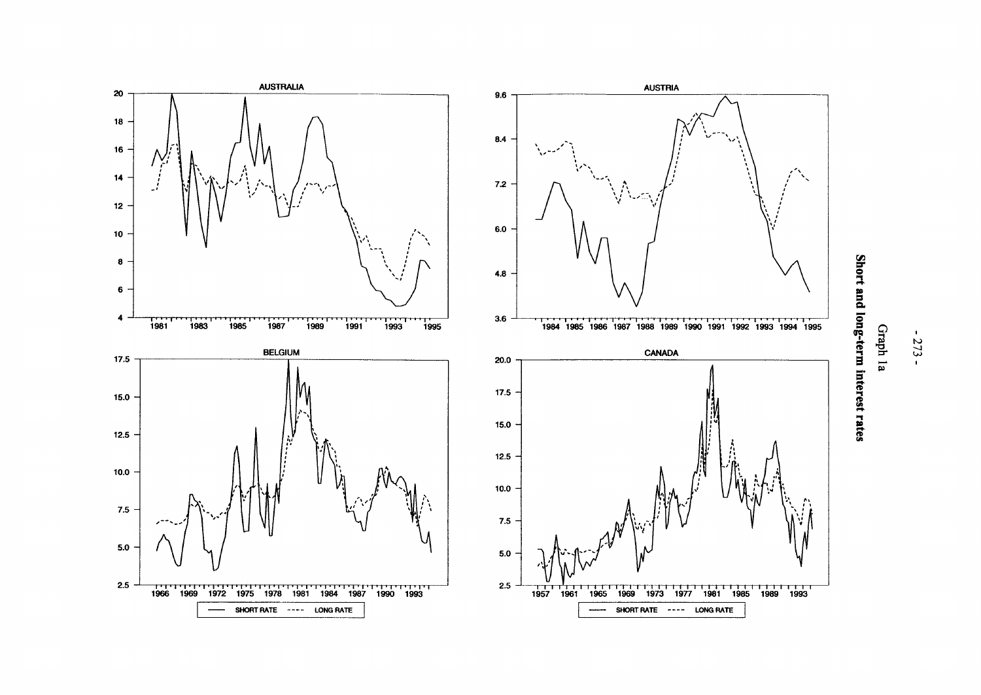



### Short and long-term interest rates

 $273 -$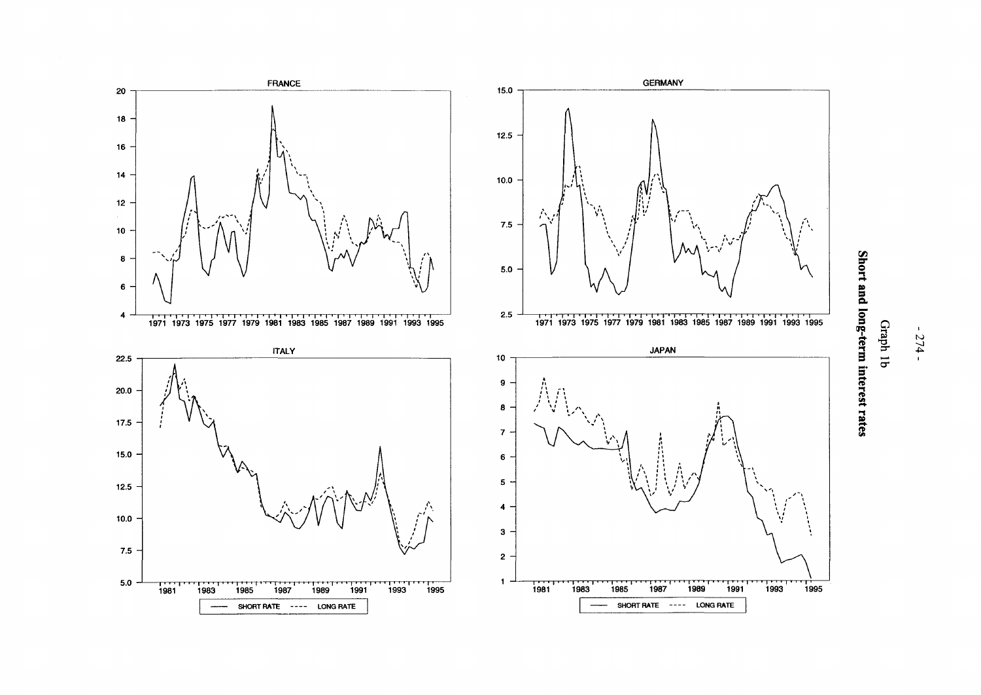

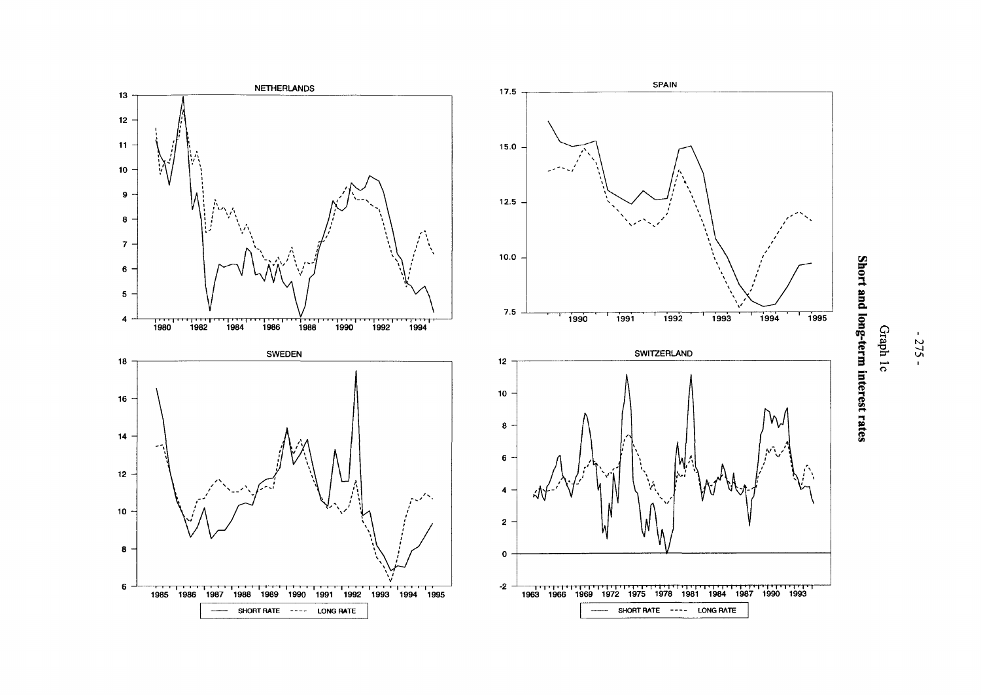



275  $\mathbf{r}$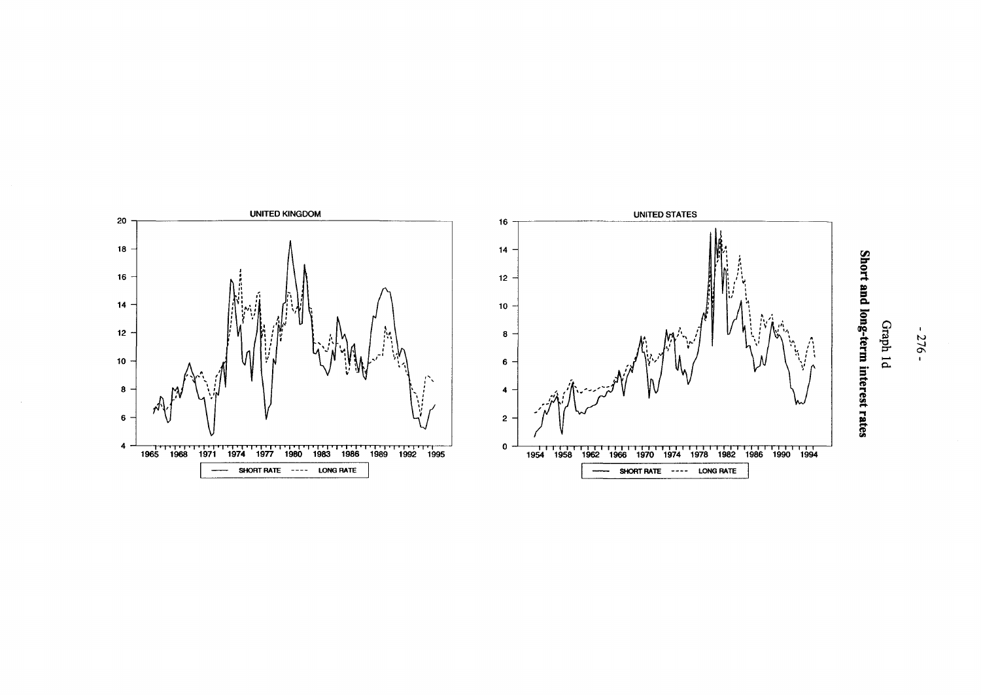



Graph 1d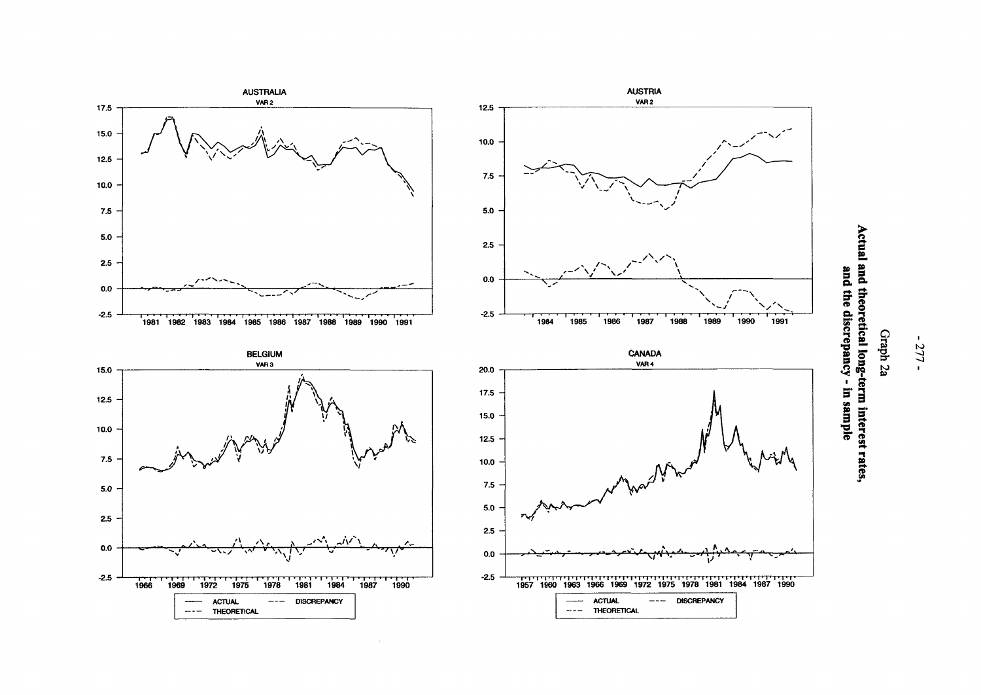

 $\sim$ 



### **Actual and theoretical long-term interest rates,**

-277-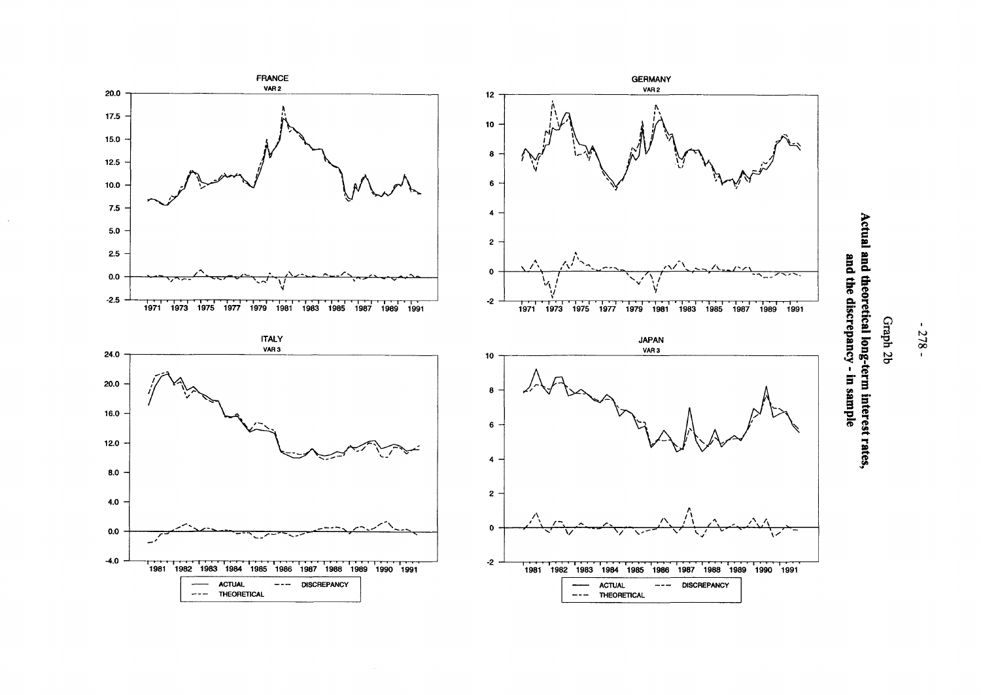



- 278 -

### **and theoretical long-term interest**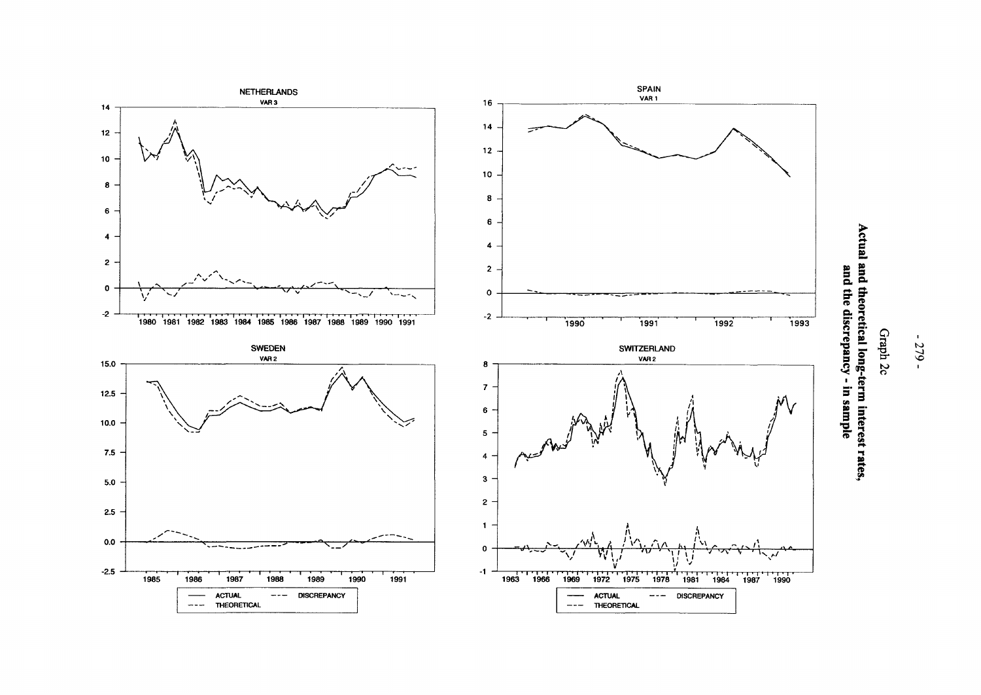



# Actual and theoretical long-term interest rates,<br>and the discrepancy - in sample

 $\mathbf{I}$  $279 -$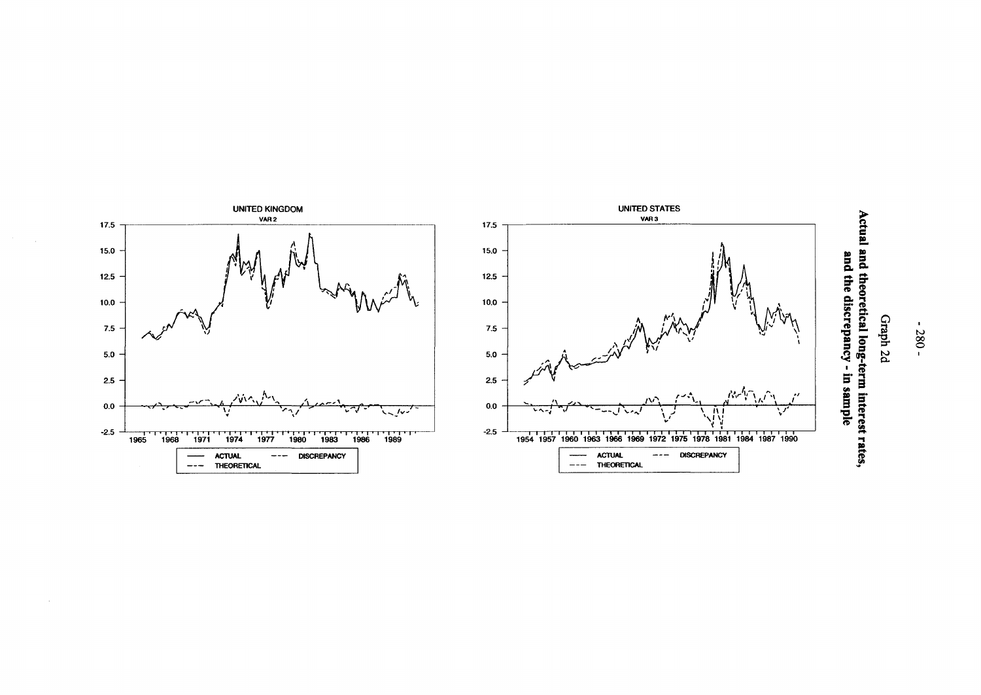

17.5

15.0

 $12.5$ 

 $10.0$ 

7.5

 $5.0$ 

 $2.5$ 

 $0.0$ 

 $-2.5$ 

 $\mathcal{L}_{\mathcal{A}}$ 

 $\frac{1}{1965}$  1968

Actual and theoretical long-term interest rates,<br>and the discrepancy - in sample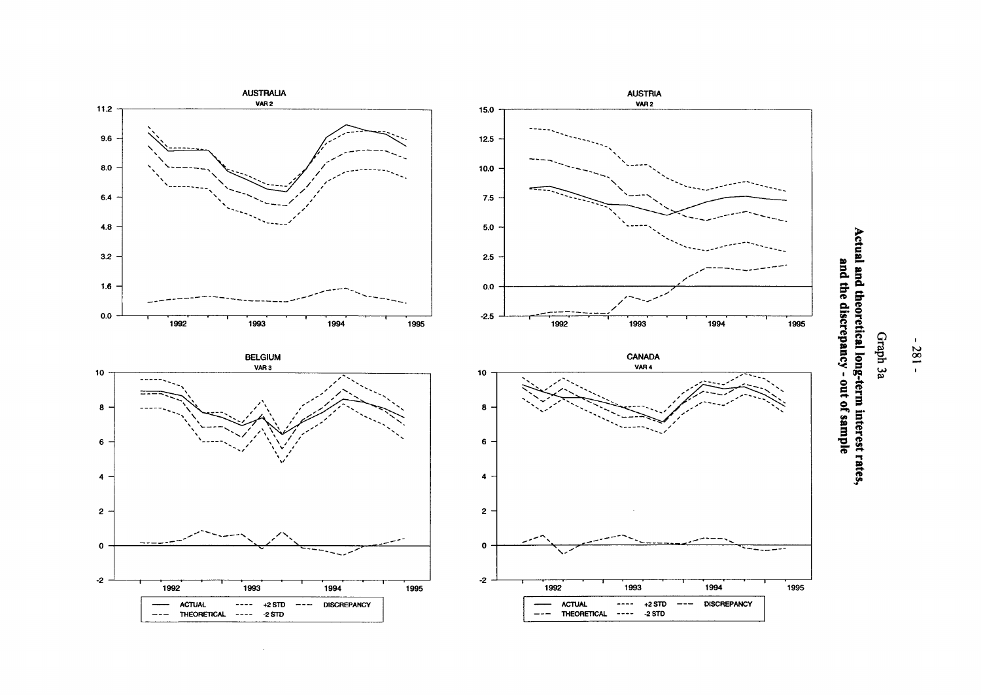

Graph 3a

# Actual and theoretical long-term interest rates,<br>and the discrepancy - out of sample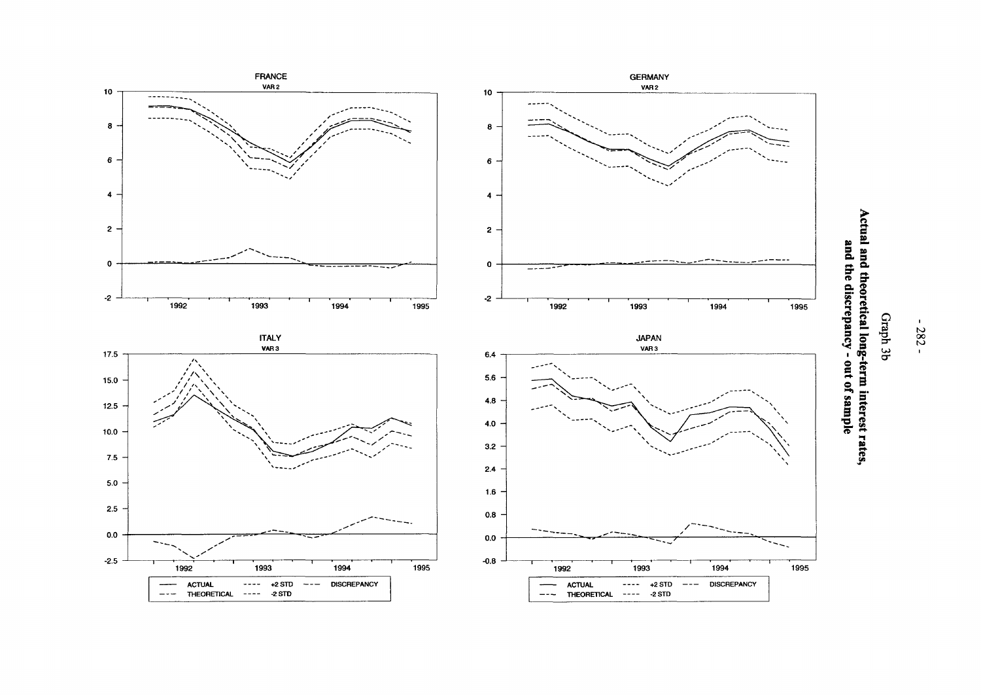



# Actual and theoretical long-term interest rates,<br>and the discrepancy - out of sample

 $\mathbf{I}$ 282-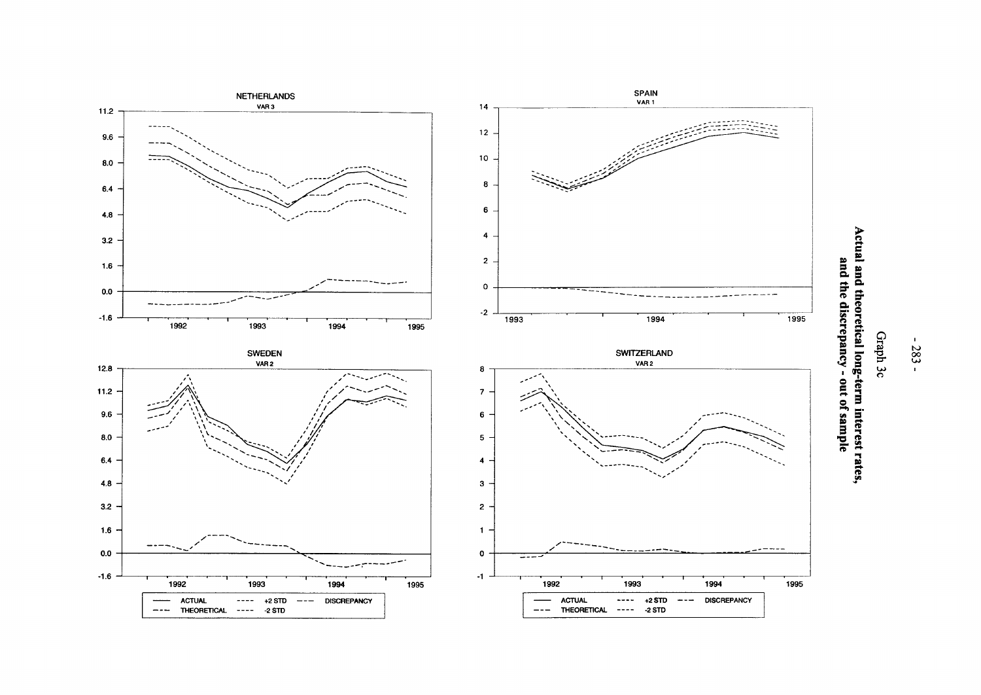

### Graph 3c

# Actual and theoretical long-term interest rates,<br>and the discrepancy - out of sample

 $\blacksquare$  $-283 -$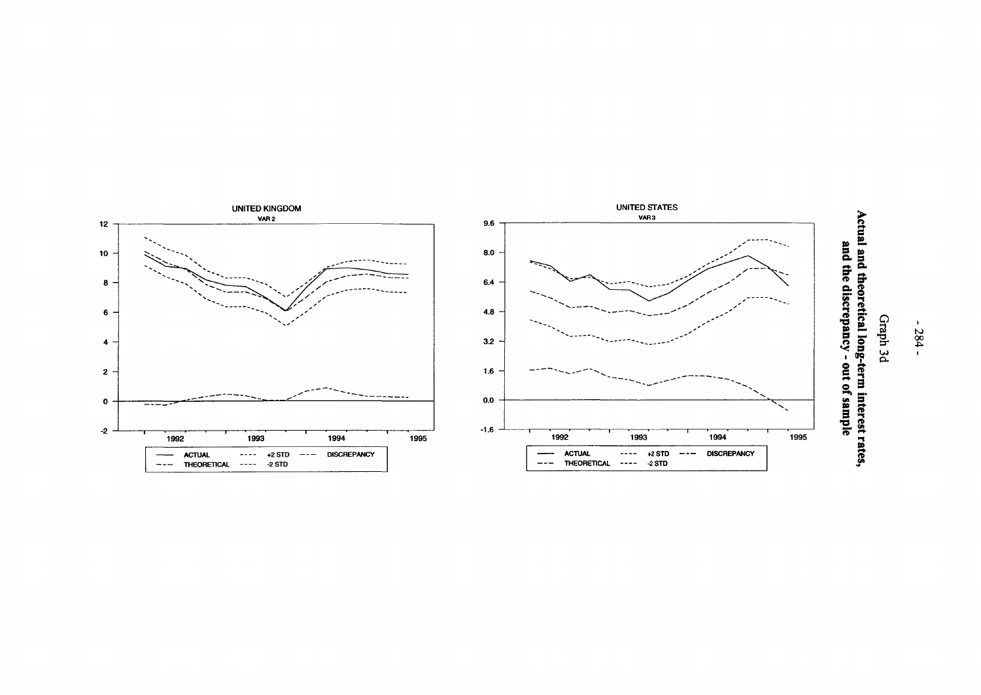



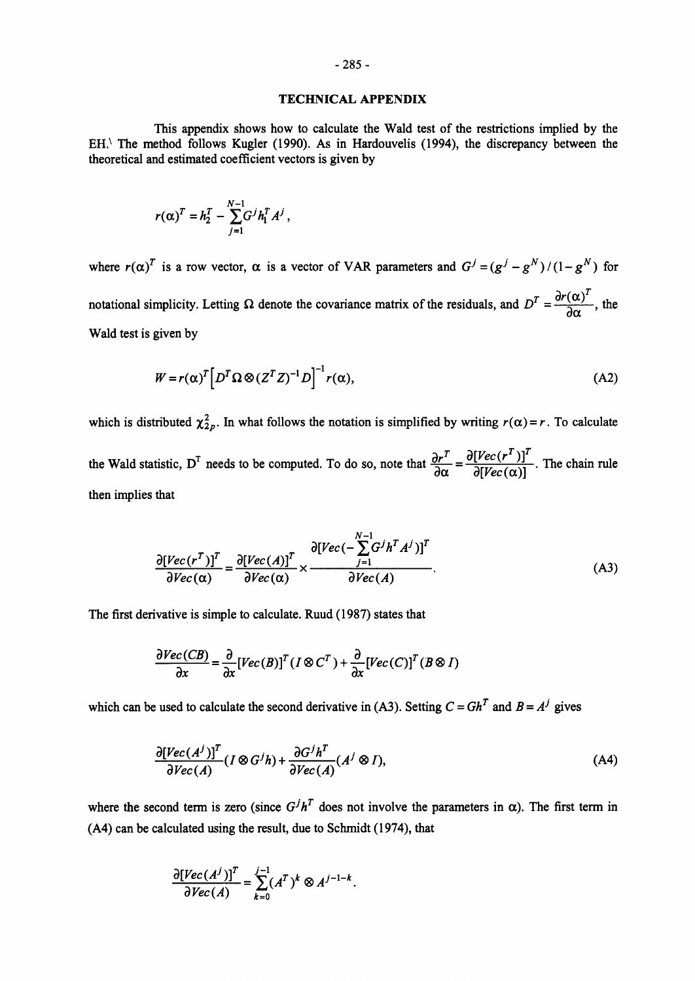### **TECHNICAL APPENDIX**

This appendix shows how to calculate the Wald test of the restrictions implied by the EH. $\degree$  The method follows Kugler (1990). As in Hardouvelis (1994), the discrepancy between the theoretical and estimated coefficient vectors is given by

$$
r(\alpha)^T = h_2^T - \sum_{j=1}^{N-1} G^j h_1^T A^j,
$$

where  $r(\alpha)^T$  is a row vector,  $\alpha$  is a vector of VAR parameters and  $G^j = (g^j - g^N)/(1 - g^N)$  for notational simplicity. Letting  $\Omega$  denote the covariance matrix of the residuals, and  $D^T = \frac{\partial r(\alpha)^2}{\partial \alpha}$ , then Wald test is given by

$$
W = r(\alpha)^{T} \Big[ D^{T} \Omega \otimes (Z^{T} Z)^{-1} D \Big]^{-1} r(\alpha), \tag{A2}
$$

which is distributed  $\chi_{2p}^2$ . In what follows the notation is simplified by writing  $r(\alpha) = r$ . To calculate the Wald statistic, D<sup>T</sup> needs to be computed. To do so, note that  $\frac{\partial r^T}{\partial \alpha} = \frac{\partial [Vec(r^T)]^T}{\partial [Vec(\alpha)]}$ . The chain rul then implies that

$$
\frac{\partial [Vec(r^T)]^T}{\partial Vec(\alpha)} = \frac{\partial [Vec(A)]^T}{\partial Vec(\alpha)} \times \frac{\partial [Vec(-\sum_{j=1}^{N-1} G^j h^T A^j)]^T}{\partial Vec(A)}.
$$
\n(A3)

The first derivative is simple to calculate. Ruud (1987) states that

$$
\frac{\partial Vec(CB)}{\partial x} = \frac{\partial}{\partial x} [Vec(B)]^{T} (I \otimes C^{T}) + \frac{\partial}{\partial x} [Vec(C)]^{T} (B \otimes I)
$$

which can be used to calculate the second derivative in (A3). Setting  $C = Gh^T$  and  $B = A^J$  gives

$$
\frac{\partial [Vec(A^j)]^T}{\partial Vec(A)} (I \otimes G^j h) + \frac{\partial G^j h^T}{\partial Vec(A)} (A^j \otimes I),
$$
 (A4)

where the second term is zero (since  $G^{j}h^{T}$  does not involve the parameters in  $\alpha$ ). The first term i (A4) can be calculated using the result, due to Schmidt (1974), that

$$
\frac{\partial[Vec(A^j)]^T}{\partial Vec(A)} = \sum_{k=0}^{j-1} (A^T)^k \otimes A^{j-1-k}.
$$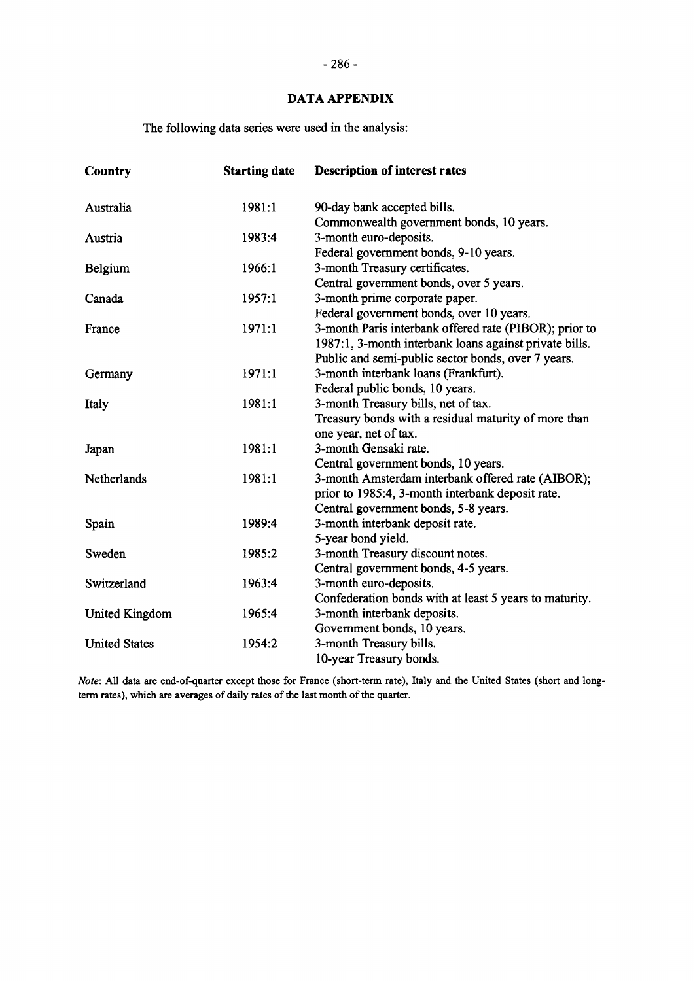### **DATA APPENDIX**

The following data series were used in the analysis:

| <b>Country</b>        | <b>Starting date</b> | <b>Description of interest rates</b>                   |
|-----------------------|----------------------|--------------------------------------------------------|
| Australia             | 1981:1               | 90-day bank accepted bills.                            |
|                       |                      | Commonwealth government bonds, 10 years.               |
| Austria               | 1983:4               | 3-month euro-deposits.                                 |
|                       |                      | Federal government bonds, 9-10 years.                  |
| Belgium               | 1966:1               | 3-month Treasury certificates.                         |
|                       |                      | Central government bonds, over 5 years.                |
| Canada                | 1957:1               | 3-month prime corporate paper.                         |
|                       |                      | Federal government bonds, over 10 years.               |
| France                | 1971:1               | 3-month Paris interbank offered rate (PIBOR); prior to |
|                       |                      | 1987:1, 3-month interbank loans against private bills. |
|                       |                      | Public and semi-public sector bonds, over 7 years.     |
| Germany               | 1971:1               | 3-month interbank loans (Frankfurt).                   |
|                       |                      | Federal public bonds, 10 years.                        |
| Italy                 | 1981:1               | 3-month Treasury bills, net of tax.                    |
|                       |                      | Treasury bonds with a residual maturity of more than   |
|                       |                      | one year, net of tax.                                  |
| Japan                 | 1981:1               | 3-month Gensaki rate.                                  |
|                       |                      | Central government bonds, 10 years.                    |
| Netherlands           | 1981:1               | 3-month Amsterdam interbank offered rate (AIBOR);      |
|                       |                      | prior to 1985:4, 3-month interbank deposit rate.       |
|                       |                      | Central government bonds, 5-8 years.                   |
| Spain                 | 1989:4               | 3-month interbank deposit rate.                        |
|                       |                      | 5-year bond yield.                                     |
| Sweden                | 1985:2               | 3-month Treasury discount notes.                       |
|                       |                      | Central government bonds, 4-5 years.                   |
| Switzerland           | 1963:4               | 3-month euro-deposits.                                 |
|                       |                      | Confederation bonds with at least 5 years to maturity. |
| <b>United Kingdom</b> | 1965:4               | 3-month interbank deposits.                            |
|                       |                      | Government bonds, 10 years.                            |
| <b>United States</b>  | 1954:2               | 3-month Treasury bills.                                |
|                       |                      | 10-year Treasury bonds.                                |

*Note*: All data are end-of-quarter except those for France (short-term rate), Italy and the United States (short and longterm rates), which are averages of daily rates of the last month of the quarter.